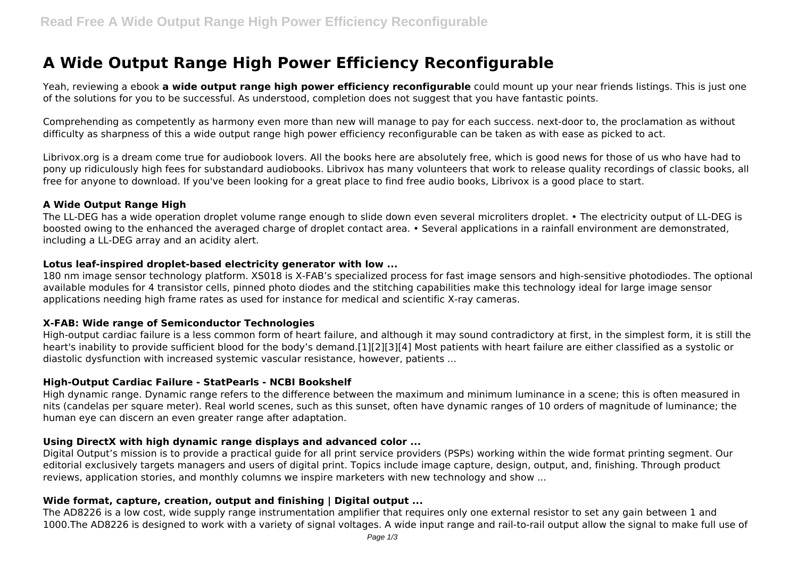# **A Wide Output Range High Power Efficiency Reconfigurable**

Yeah, reviewing a ebook **a wide output range high power efficiency reconfigurable** could mount up your near friends listings. This is just one of the solutions for you to be successful. As understood, completion does not suggest that you have fantastic points.

Comprehending as competently as harmony even more than new will manage to pay for each success. next-door to, the proclamation as without difficulty as sharpness of this a wide output range high power efficiency reconfigurable can be taken as with ease as picked to act.

Librivox.org is a dream come true for audiobook lovers. All the books here are absolutely free, which is good news for those of us who have had to pony up ridiculously high fees for substandard audiobooks. Librivox has many volunteers that work to release quality recordings of classic books, all free for anyone to download. If you've been looking for a great place to find free audio books, Librivox is a good place to start.

#### **A Wide Output Range High**

The LL-DEG has a wide operation droplet volume range enough to slide down even several microliters droplet. • The electricity output of LL-DEG is boosted owing to the enhanced the averaged charge of droplet contact area. • Several applications in a rainfall environment are demonstrated, including a LL-DEG array and an acidity alert.

#### **Lotus leaf-inspired droplet-based electricity generator with low ...**

180 nm image sensor technology platform. XS018 is X-FAB's specialized process for fast image sensors and high-sensitive photodiodes. The optional available modules for 4 transistor cells, pinned photo diodes and the stitching capabilities make this technology ideal for large image sensor applications needing high frame rates as used for instance for medical and scientific X-ray cameras.

## **X-FAB: Wide range of Semiconductor Technologies**

High-output cardiac failure is a less common form of heart failure, and although it may sound contradictory at first, in the simplest form, it is still the heart's inability to provide sufficient blood for the body's demand.[1][2][3][4] Most patients with heart failure are either classified as a systolic or diastolic dysfunction with increased systemic vascular resistance, however, patients ...

#### **High-Output Cardiac Failure - StatPearls - NCBI Bookshelf**

High dynamic range. Dynamic range refers to the difference between the maximum and minimum luminance in a scene; this is often measured in nits (candelas per square meter). Real world scenes, such as this sunset, often have dynamic ranges of 10 orders of magnitude of luminance; the human eye can discern an even greater range after adaptation.

#### **Using DirectX with high dynamic range displays and advanced color ...**

Digital Output's mission is to provide a practical guide for all print service providers (PSPs) working within the wide format printing segment. Our editorial exclusively targets managers and users of digital print. Topics include image capture, design, output, and, finishing. Through product reviews, application stories, and monthly columns we inspire marketers with new technology and show ...

## **Wide format, capture, creation, output and finishing | Digital output ...**

The AD8226 is a low cost, wide supply range instrumentation amplifier that requires only one external resistor to set any gain between 1 and 1000.The AD8226 is designed to work with a variety of signal voltages. A wide input range and rail-to-rail output allow the signal to make full use of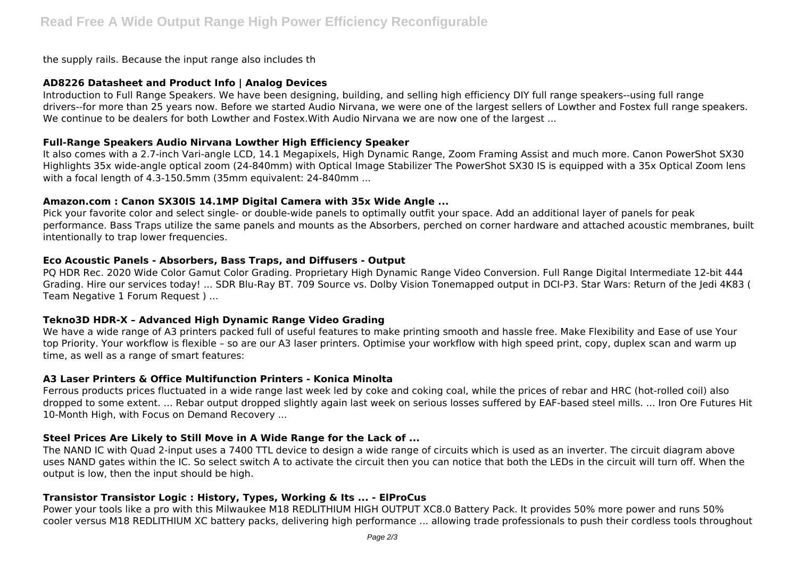the supply rails. Because the input range also includes th

## **AD8226 Datasheet and Product Info | Analog Devices**

Introduction to Full Range Speakers. We have been designing, building, and selling high efficiency DIY full range speakers--using full range drivers--for more than 25 years now. Before we started Audio Nirvana, we were one of the largest sellers of Lowther and Fostex full range speakers. We continue to be dealers for both Lowther and Fostex. With Audio Nirvana we are now one of the largest ...

# **Full-Range Speakers Audio Nirvana Lowther High Efficiency Speaker**

It also comes with a 2.7-inch Vari-angle LCD, 14.1 Megapixels, High Dynamic Range, Zoom Framing Assist and much more. Canon PowerShot SX30 Highlights 35x wide-angle optical zoom (24-840mm) with Optical Image Stabilizer The PowerShot SX30 IS is equipped with a 35x Optical Zoom lens with a focal length of 4.3-150.5mm (35mm equivalent: 24-840mm ...

# **Amazon.com : Canon SX30IS 14.1MP Digital Camera with 35x Wide Angle ...**

Pick your favorite color and select single- or double-wide panels to optimally outfit your space. Add an additional layer of panels for peak performance. Bass Traps utilize the same panels and mounts as the Absorbers, perched on corner hardware and attached acoustic membranes, built intentionally to trap lower frequencies.

# **Eco Acoustic Panels - Absorbers, Bass Traps, and Diffusers - Output**

PQ HDR Rec. 2020 Wide Color Gamut Color Grading. Proprietary High Dynamic Range Video Conversion. Full Range Digital Intermediate 12-bit 444 Grading. Hire our services today! ... SDR Blu-Ray BT. 709 Source vs. Dolby Vision Tonemapped output in DCI-P3. Star Wars: Return of the Jedi 4K83 ( Team Negative 1 Forum Request ) ...

## **Tekno3D HDR-X – Advanced High Dynamic Range Video Grading**

We have a wide range of A3 printers packed full of useful features to make printing smooth and hassle free. Make Flexibility and Ease of use Your top Priority. Your workflow is flexible – so are our A3 laser printers. Optimise your workflow with high speed print, copy, duplex scan and warm up time, as well as a range of smart features:

## **A3 Laser Printers & Office Multifunction Printers - Konica Minolta**

Ferrous products prices fluctuated in a wide range last week led by coke and coking coal, while the prices of rebar and HRC (hot-rolled coil) also dropped to some extent. ... Rebar output dropped slightly again last week on serious losses suffered by EAF-based steel mills. ... Iron Ore Futures Hit 10-Month High, with Focus on Demand Recovery ...

# **Steel Prices Are Likely to Still Move in A Wide Range for the Lack of ...**

The NAND IC with Quad 2-input uses a 7400 TTL device to design a wide range of circuits which is used as an inverter. The circuit diagram above uses NAND gates within the IC. So select switch A to activate the circuit then you can notice that both the LEDs in the circuit will turn off. When the output is low, then the input should be high.

# **Transistor Transistor Logic : History, Types, Working & Its ... - ElProCus**

Power your tools like a pro with this Milwaukee M18 REDLITHIUM HIGH OUTPUT XC8.0 Battery Pack. It provides 50% more power and runs 50% cooler versus M18 REDLITHIUM XC battery packs, delivering high performance ... allowing trade professionals to push their cordless tools throughout